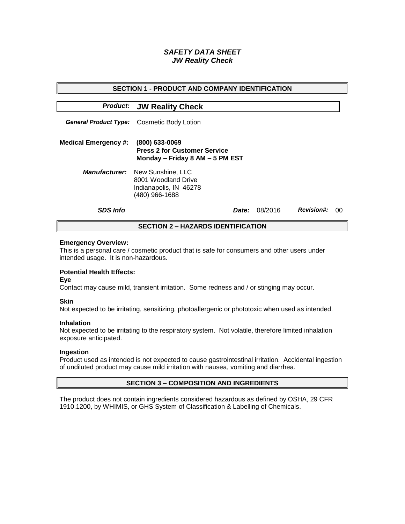# *SAFETY DATA SHEET JW Reality Check*

| <b>SECTION 1 - PRODUCT AND COMPANY IDENTIFICATION</b> |                                                                                          |              |         |                   |   |  |
|-------------------------------------------------------|------------------------------------------------------------------------------------------|--------------|---------|-------------------|---|--|
|                                                       | <b>Product: JW Reality Check</b>                                                         |              |         |                   |   |  |
|                                                       | <b>General Product Type:</b> Cosmetic Body Lotion                                        |              |         |                   |   |  |
| <b>Medical Emergency #:</b>                           | (800) 633-0069<br><b>Press 2 for Customer Service</b><br>Monday - Friday 8 AM - 5 PM EST |              |         |                   |   |  |
| <b>Manufacturer:</b>                                  | New Sunshine, LLC<br>8001 Woodland Drive<br>Indianapolis, IN 46278<br>(480) 966-1688     |              |         |                   |   |  |
| <b>SDS Info</b>                                       |                                                                                          | <i>Date:</i> | 08/2016 | <b>Revision#:</b> | ന |  |
| <b>SECTION 2 – HAZARDS IDENTIFICATION</b>             |                                                                                          |              |         |                   |   |  |

#### **Emergency Overview:**

This is a personal care / cosmetic product that is safe for consumers and other users under intended usage. It is non-hazardous.

# **Potential Health Effects:**

**Eye**

Contact may cause mild, transient irritation. Some redness and / or stinging may occur.

### **Skin**

Not expected to be irritating, sensitizing, photoallergenic or phototoxic when used as intended.

#### **Inhalation**

Not expected to be irritating to the respiratory system. Not volatile, therefore limited inhalation exposure anticipated.

### **Ingestion**

Product used as intended is not expected to cause gastrointestinal irritation. Accidental ingestion of undiluted product may cause mild irritation with nausea, vomiting and diarrhea.

### **SECTION 3 – COMPOSITION AND INGREDIENTS**

The product does not contain ingredients considered hazardous as defined by OSHA, 29 CFR 1910.1200, by WHIMIS, or GHS System of Classification & Labelling of Chemicals.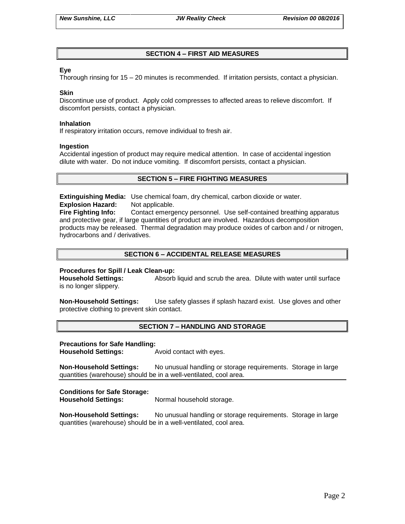# **SECTION 4 – FIRST AID MEASURES**

### **Eye**

Thorough rinsing for 15 – 20 minutes is recommended. If irritation persists, contact a physician.

#### **Skin**

Discontinue use of product. Apply cold compresses to affected areas to relieve discomfort. If discomfort persists, contact a physician.

#### **Inhalation**

If respiratory irritation occurs, remove individual to fresh air.

#### **Ingestion**

Accidental ingestion of product may require medical attention. In case of accidental ingestion dilute with water. Do not induce vomiting. If discomfort persists, contact a physician.

# **SECTION 5 – FIRE FIGHTING MEASURES**

**Extinguishing Media:** Use chemical foam, dry chemical, carbon dioxide or water. **Explosion Hazard:** Not applicable.

**Fire Fighting Info:** Contact emergency personnel. Use self-contained breathing apparatus and protective gear, if large quantities of product are involved. Hazardous decomposition products may be released. Thermal degradation may produce oxides of carbon and / or nitrogen, hydrocarbons and / derivatives.

# **SECTION 6 – ACCIDENTAL RELEASE MEASURES**

### **Procedures for Spill / Leak Clean-up:**

**Household Settings:** Absorb liquid and scrub the area. Dilute with water until surface is no longer slippery.

**Non-Household Settings:** Use safety glasses if splash hazard exist. Use gloves and other protective clothing to prevent skin contact.

### **SECTION 7 – HANDLING AND STORAGE**

#### **Precautions for Safe Handling:**

**Household Settings:** Avoid contact with eyes.

**Non-Household Settings:** No unusual handling or storage requirements. Storage in large quantities (warehouse) should be in a well-ventilated, cool area.

### **Conditions for Safe Storage:**

**Household Settings:** Normal household storage.

**Non-Household Settings:** No unusual handling or storage requirements. Storage in large quantities (warehouse) should be in a well-ventilated, cool area.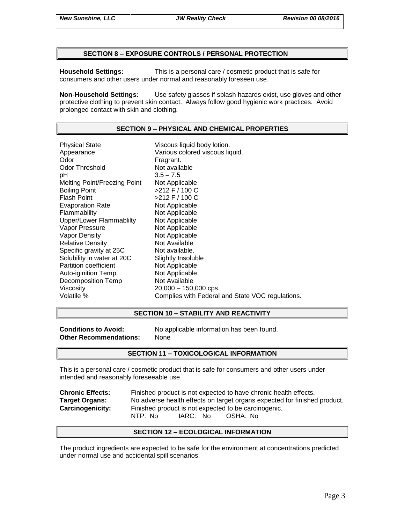### **SECTION 8 – EXPOSURE CONTROLS / PERSONAL PROTECTION**

**Household Settings:** This is a personal care / cosmetic product that is safe for consumers and other users under normal and reasonably foreseen use.

**Non-Household Settings:** Use safety glasses if splash hazards exist, use gloves and other protective clothing to prevent skin contact. Always follow good hygienic work practices. Avoid prolonged contact with skin and clothing.

## **SECTION 9 – PHYSICAL AND CHEMICAL PROPERTIES**

Physical State Viscous liquid body lotion. Appearance **Various colored viscous liquid.**<br>
Odor Communication Colore Fragrant. Odor Threshold Not available pH 3.5 – 7.5 Melting Point/Freezing Point Not Applicable Boiling Point >212 F / 100 C Flash Point  $>212$  F / 100 C Evaporation Rate Not Applicable Flammability Not Applicable Upper/Lower Flammablilty Not Applicable Vapor Pressure Not Applicable Vapor Density Not Applicable Relative Density Not Available Specific gravity at 25C Not available. Solubility in water at 20C Slightly Insoluble Partition coefficient Not Applicable Auto-iginition Temp Not Applicable Decomposition Temp Not Available Viscosity 20,000 – 150,000 cps. Volatile % Complies with Federal and State VOC regulations.

### **SECTION 10 – STABILITY AND REACTIVITY**

**Other Recommendations:** None

**Conditions to Avoid:** No applicable information has been found.

### **SECTION 11 – TOXICOLOGICAL INFORMATION**

This is a personal care / cosmetic product that is safe for consumers and other users under intended and reasonably foreseeable use.

**Chronic Effects:** Finished product is not expected to have chronic health effects. **Target Organs:** No adverse health effects on target organs expected for finished product. **Carcinogenicity:** Finished product is not expected to be carcinogenic. NTP: No IARC: No OSHA: No

### **SECTION 12 – ECOLOGICAL INFORMATION**

The product ingredients are expected to be safe for the environment at concentrations predicted under normal use and accidental spill scenarios.